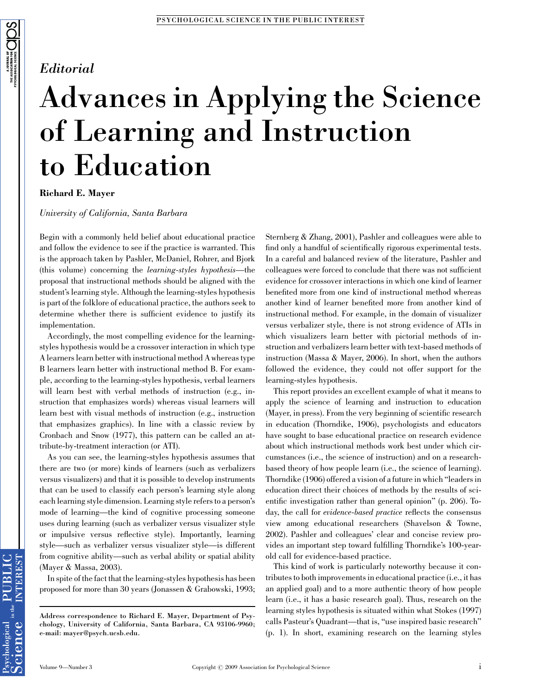## Editorial

## Advances in Applying the Science of Learning and Instruction to Education

Richard E. Mayer

University of California, Santa Barbara

Begin with a commonly held belief about educational practice and follow the evidence to see if the practice is warranted. This is the approach taken by Pashler, McDaniel, Rohrer, and Bjork (this volume) concerning the learning-styles hypothesis—the proposal that instructional methods should be aligned with the student's learning style. Although the learning-styles hypothesis is part of the folklore of educational practice, the authors seek to determine whether there is sufficient evidence to justify its implementation.

Accordingly, the most compelling evidence for the learningstyles hypothesis would be a crossover interaction in which type A learners learn better with instructional method Awhereas type B learners learn better with instructional method B. For example, according to the learning-styles hypothesis, verbal learners will learn best with verbal methods of instruction (e.g., instruction that emphasizes words) whereas visual learners will learn best with visual methods of instruction (e.g., instruction that emphasizes graphics). In line with a classic review by Cronbach and Snow (1977), this pattern can be called an attribute-by-treatment interaction (or ATI).

As you can see, the learning-styles hypothesis assumes that there are two (or more) kinds of learners (such as verbalizers versus visualizers) and that it is possible to develop instruments that can be used to classify each person's learning style along each learning style dimension. Learning style refers to a person's mode of learning—the kind of cognitive processing someone uses during learning (such as verbalizer versus visualizer style or impulsive versus reflective style). Importantly, learning style—such as verbalizer versus visualizer style—is different from cognitive ability—such as verbal ability or spatial ability (Mayer & Massa, 2003).

In spite of the fact that the learning-styles hypothesis has been proposed for more than 30 years (Jonassen & Grabowski, 1993; Sternberg & Zhang, 2001), Pashler and colleagues were able to find only a handful of scientifically rigorous experimental tests. In a careful and balanced review of the literature, Pashler and colleagues were forced to conclude that there was not sufficient evidence for crossover interactions in which one kind of learner benefited more from one kind of instructional method whereas another kind of learner benefited more from another kind of instructional method. For example, in the domain of visualizer versus verbalizer style, there is not strong evidence of ATIs in which visualizers learn better with pictorial methods of instruction and verbalizers learn better with text-based methods of instruction (Massa & Mayer, 2006). In short, when the authors followed the evidence, they could not offer support for the learning-styles hypothesis.

This report provides an excellent example of what it means to apply the science of learning and instruction to education (Mayer, in press). From the very beginning of scientific research in education (Thorndike, 1906), psychologists and educators have sought to base educational practice on research evidence about which instructional methods work best under which circumstances (i.e., the science of instruction) and on a researchbased theory of how people learn (i.e., the science of learning). Thorndike (1906) offered a vision of a future in which ''leaders in education direct their choices of methods by the results of scientific investigation rather than general opinion'' (p. 206). Today, the call for evidence-based practice reflects the consensus view among educational researchers (Shavelson & Towne, 2002). Pashler and colleagues' clear and concise review provides an important step toward fulfilling Thorndike's 100-yearold call for evidence-based practice.

This kind of work is particularly noteworthy because it contributes to both improvements in educational practice (i.e., it has an applied goal) and to a more authentic theory of how people learn (i.e., it has a basic research goal). Thus, research on the learning styles hypothesis is situated within what Stokes (1997) calls Pasteur's Quadrant—that is, ''use inspired basic research'' (p. 1). In short, examining research on the learning styles

Address correspondence to Richard E. Mayer, Department of Psychology, University of California, Santa Barbara, CA 93106-9960; e-mail: mayer@psych.ucsb.edu.